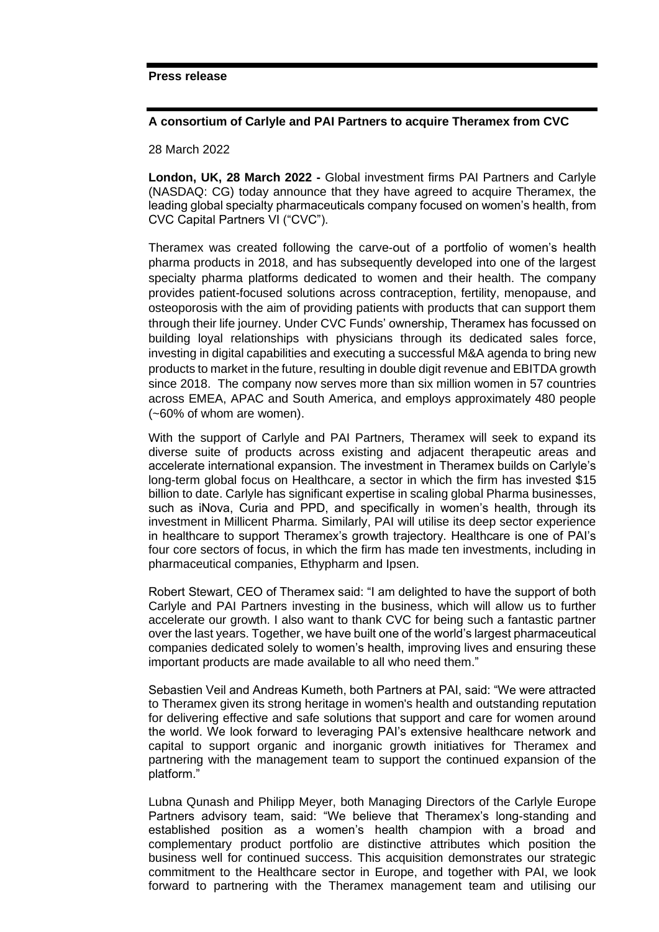### **A consortium of Carlyle and PAI Partners to acquire Theramex from CVC**

28 March 2022

**London, UK, 28 March 2022 -** Global investment firms PAI Partners and Carlyle (NASDAQ: CG) today announce that they have agreed to acquire Theramex, the leading global specialty pharmaceuticals company focused on women's health, from CVC Capital Partners VI ("CVC").

Theramex was created following the carve-out of a portfolio of women's health pharma products in 2018, and has subsequently developed into one of the largest specialty pharma platforms dedicated to women and their health. The company provides patient-focused solutions across contraception, fertility, menopause, and osteoporosis with the aim of providing patients with products that can support them through their life journey. Under CVC Funds' ownership, Theramex has focussed on building loyal relationships with physicians through its dedicated sales force, investing in digital capabilities and executing a successful M&A agenda to bring new products to market in the future, resulting in double digit revenue and EBITDA growth since 2018. The company now serves more than six million women in 57 countries across EMEA, APAC and South America, and employs approximately 480 people (~60% of whom are women).

With the support of Carlyle and PAI Partners, Theramex will seek to expand its diverse suite of products across existing and adjacent therapeutic areas and accelerate international expansion. The investment in Theramex builds on Carlyle's long-term global focus on Healthcare, a sector in which the firm has invested \$15 billion to date. Carlyle has significant expertise in scaling global Pharma businesses, such as iNova, Curia and PPD, and specifically in women's health, through its investment in Millicent Pharma. Similarly, PAI will utilise its deep sector experience in healthcare to support Theramex's growth trajectory. Healthcare is one of PAI's four core sectors of focus, in which the firm has made ten investments, including in pharmaceutical companies, Ethypharm and Ipsen.

Robert Stewart, CEO of Theramex said: "I am delighted to have the support of both Carlyle and PAI Partners investing in the business, which will allow us to further accelerate our growth. I also want to thank CVC for being such a fantastic partner over the last years. Together, we have built one of the world's largest pharmaceutical companies dedicated solely to women's health, improving lives and ensuring these important products are made available to all who need them."

Sebastien Veil and Andreas Kumeth, both Partners at PAI, said: "We were attracted to Theramex given its strong heritage in women's health and outstanding reputation for delivering effective and safe solutions that support and care for women around the world. We look forward to leveraging PAI's extensive healthcare network and capital to support organic and inorganic growth initiatives for Theramex and partnering with the management team to support the continued expansion of the platform."

Lubna Qunash and Philipp Meyer, both Managing Directors of the Carlyle Europe Partners advisory team, said: "We believe that Theramex's long-standing and established position as a women's health champion with a broad and complementary product portfolio are distinctive attributes which position the business well for continued success. This acquisition demonstrates our strategic commitment to the Healthcare sector in Europe, and together with PAI, we look forward to partnering with the Theramex management team and utilising our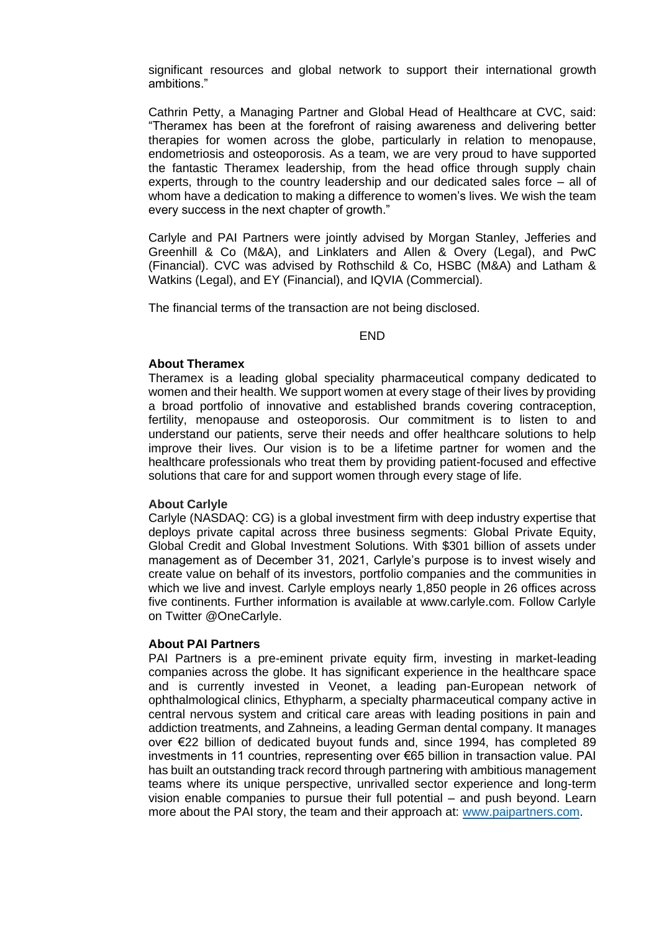significant resources and global network to support their international growth ambitions."

Cathrin Petty, a Managing Partner and Global Head of Healthcare at CVC, said: "Theramex has been at the forefront of raising awareness and delivering better therapies for women across the globe, particularly in relation to menopause, endometriosis and osteoporosis. As a team, we are very proud to have supported the fantastic Theramex leadership, from the head office through supply chain experts, through to the country leadership and our dedicated sales force – all of whom have a dedication to making a difference to women's lives. We wish the team every success in the next chapter of growth."

Carlyle and PAI Partners were jointly advised by Morgan Stanley, Jefferies and Greenhill & Co (M&A), and Linklaters and Allen & Overy (Legal), and PwC (Financial). CVC was advised by Rothschild & Co, HSBC (M&A) and Latham & Watkins (Legal), and EY (Financial), and IQVIA (Commercial).

The financial terms of the transaction are not being disclosed.

#### END

### **About Theramex**

Theramex is a leading global speciality pharmaceutical company dedicated to women and their health. We support women at every stage of their lives by providing a broad portfolio of innovative and established brands covering contraception, fertility, menopause and osteoporosis. Our commitment is to listen to and understand our patients, serve their needs and offer healthcare solutions to help improve their lives. Our vision is to be a lifetime partner for women and the healthcare professionals who treat them by providing patient-focused and effective solutions that care for and support women through every stage of life.

### **About Carlyle**

Carlyle (NASDAQ: CG) is a global investment firm with deep industry expertise that deploys private capital across three business segments: Global Private Equity, Global Credit and Global Investment Solutions. With \$301 billion of assets under management as of December 31, 2021, Carlyle's purpose is to invest wisely and create value on behalf of its investors, portfolio companies and the communities in which we live and invest. Carlyle employs nearly 1,850 people in 26 offices across five continents. Further information is available at www.carlyle.com. Follow Carlyle on Twitter @OneCarlyle.

#### **About PAI Partners**

PAI Partners is a pre-eminent private equity firm, investing in market-leading companies across the globe. It has significant experience in the healthcare space and is currently invested in Veonet, a leading pan-European network of ophthalmological clinics, Ethypharm, a specialty pharmaceutical company active in central nervous system and critical care areas with leading positions in pain and addiction treatments, and Zahneins, a leading German dental company. It manages over €22 billion of dedicated buyout funds and, since 1994, has completed 89 investments in 11 countries, representing over €65 billion in transaction value. PAI has built an outstanding track record through partnering with ambitious management teams where its unique perspective, unrivalled sector experience and long-term vision enable companies to pursue their full potential – and push beyond. Learn more about the PAI story, the team and their approach at: [www.paipartners.com.](http://www.paipartners.com/)